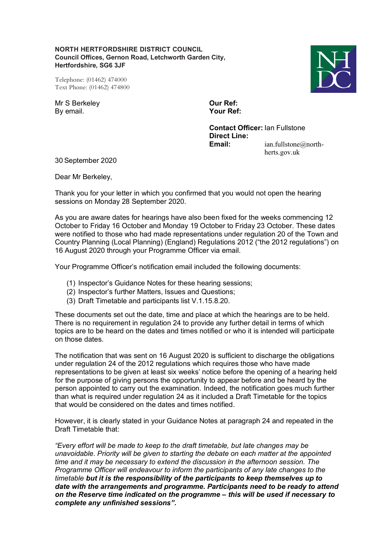**NORTH HERTFORDSHIRE DISTRICT COUNCIL Council Offices, Gernon Road, Letchworth Garden City, Hertfordshire, SG6 3JF** 

Telephone: (01462) 474000 Text Phone: (01462) 474800

Mr S Berkeley **Our Ref:** By email. **Your Ref:**

**Contact Officer:** Ian Fullstone **Direct Line: Email:** ian.fullstone@northherts.gov.uk

30 September 2020

Dear Mr Berkeley,

Thank you for your letter in which you confirmed that you would not open the hearing sessions on Monday 28 September 2020.

As you are aware dates for hearings have also been fixed for the weeks commencing 12 October to Friday 16 October and Monday 19 October to Friday 23 October. These dates were notified to those who had made representations under regulation 20 of the Town and Country Planning (Local Planning) (England) Regulations 2012 ("the 2012 regulations") on 16 August 2020 through your Programme Officer via email.

Your Programme Officer's notification email included the following documents:

- (1) Inspector's Guidance Notes for these hearing sessions;
- (2) Inspector's further Matters, Issues and Questions;
- (3) Draft Timetable and participants list V.1.15.8.20.

These documents set out the date, time and place at which the hearings are to be held. There is no requirement in regulation 24 to provide any further detail in terms of which topics are to be heard on the dates and times notified or who it is intended will participate on those dates.

The notification that was sent on 16 August 2020 is sufficient to discharge the obligations under regulation 24 of the 2012 regulations which requires those who have made representations to be given at least six weeks' notice before the opening of a hearing held for the purpose of giving persons the opportunity to appear before and be heard by the person appointed to carry out the examination. Indeed, the notification goes much further than what is required under regulation 24 as it included a Draft Timetable for the topics that would be considered on the dates and times notified.

However, it is clearly stated in your Guidance Notes at paragraph 24 and repeated in the Draft Timetable that:

*"Every effort will be made to keep to the draft timetable, but late changes may be unavoidable. Priority will be given to starting the debate on each matter at the appointed time and it may be necessary to extend the discussion in the afternoon session. The Programme Officer will endeavour to inform the participants of any late changes to the timetable but it is the responsibility of the participants to keep themselves up to date with the arrangements and programme. Participants need to be ready to attend on the Reserve time indicated on the programme – this will be used if necessary to complete any unfinished sessions".*